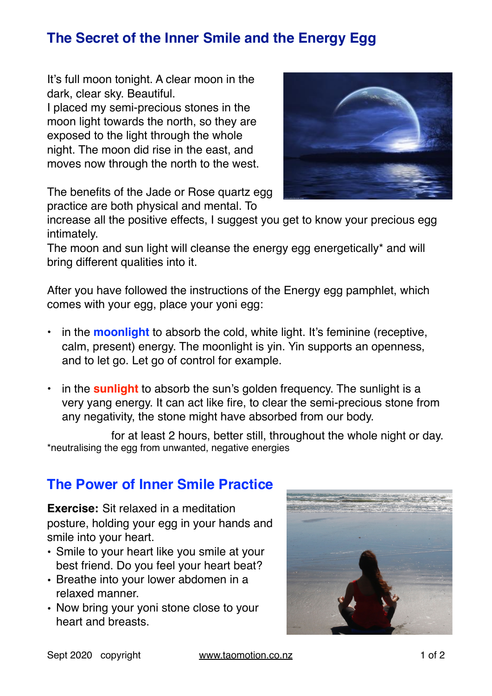## **The Secret of the Inner Smile and the Energy Egg**

It's full moon tonight. A clear moon in the dark, clear sky. Beautiful.

I placed my semi-precious stones in the moon light towards the north, so they are exposed to the light through the whole night. The moon did rise in the east, and moves now through the north to the west.



The benefits of the Jade or Rose quartz egg practice are both physical and mental. To

increase all the positive effects, I suggest you get to know your precious egg intimately.

The moon and sun light will cleanse the energy egg energetically\* and will bring different qualities into it.

After you have followed the instructions of the Energy egg pamphlet, which comes with your egg, place your yoni egg:

- in the **moonlight** to absorb the cold, white light. It's feminine (receptive, calm, present) energy. The moonlight is yin. Yin supports an openness, and to let go. Let go of control for example.
- in the **sunlight** to absorb the sun's golden frequency. The sunlight is a very yang energy. It can act like fire, to clear the semi-precious stone from any negativity, the stone might have absorbed from our body.

 for at least 2 hours, better still, throughout the whole night or day. \*neutralising the egg from unwanted, negative energies

## **The Power of Inner Smile Practice**

**Exercise:** Sit relaxed in a meditation posture, holding your egg in your hands and smile into your heart.

- Smile to your heart like you smile at your best friend. Do you feel your heart beat?
- Breathe into your lower abdomen in a relaxed manner.
- Now bring your yoni stone close to your heart and breasts.